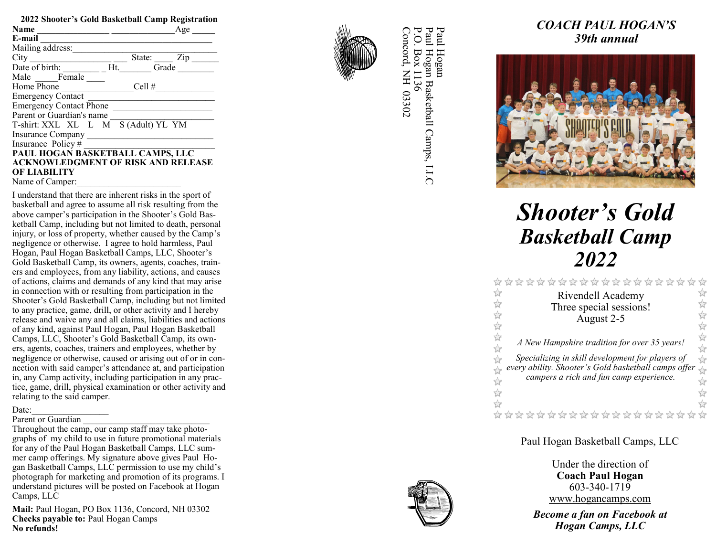| 2022 Shooter's Gold Basketball Camp Registration |               |  |  |  |  |
|--------------------------------------------------|---------------|--|--|--|--|
| <b>Name</b>                                      | Age           |  |  |  |  |
| E-mail                                           |               |  |  |  |  |
| Mailing address:                                 |               |  |  |  |  |
| City                                             | State:<br>Zip |  |  |  |  |
| Date of birth:<br>Ht.                            | Grade         |  |  |  |  |
| Male Female                                      |               |  |  |  |  |
| Home Phone                                       | Cell#         |  |  |  |  |
| <b>Emergency Contact</b>                         |               |  |  |  |  |
| <b>Emergency Contact Phone</b>                   |               |  |  |  |  |
| Parent or Guardian's name                        |               |  |  |  |  |
| T-shirt: XXL XL L M S (Adult) YL YM              |               |  |  |  |  |
| Insurance Company                                |               |  |  |  |  |
| Insurance Policy#                                |               |  |  |  |  |
| PAUL HOGAN BASKETBALL CAMPS, LLC                 |               |  |  |  |  |
| <b>ACKNOWLEDGMENT OF RISK AND RELEASE</b>        |               |  |  |  |  |
| ОҒ LIABILITY                                     |               |  |  |  |  |
| Name of Camper:                                  |               |  |  |  |  |

I understand that there are inherent risks in the sport of basketball and agree to assume all risk resulting from the above camper 's participation in the Shooter 's Gold Basketball Camp, including but not limited to death, personal injury, or loss of property, whether caused by the Camp 's negligence or otherwise. I agree to hold harmless, Paul Hogan, Paul Hogan Basketball Camps, LLC, Shooter 's Gold Basketball Camp, its owners, agents, coaches, trainers and employees, from any liability, actions, and causes of actions, claims and demands of any kind that may arise in connection with or resulting from participation in the Shooter 's Gold Basketball Camp, including but not limited to any practice, game, drill, or other activity and I hereby release and waive any and all claims, liabilities and actions of any kind, against Paul Hogan, Paul Hogan Basketball Camps, LLC, Shooter 's Gold Basketball Camp, its owners, agents, coaches, trainers and employees, whether by negligence or otherwise, caused or arising out of or in connection with said camper's attendance at, and participation in, any Camp activity, including participation in any practice, game, drill, physical examination or other activity and relating to the said camper.

#### Date:

#### Parent or Guardian

Throughout the camp, our camp staff may take photographs of my child to use in future promotional materials for any of the Paul Hogan Basketball Camps, LLC summer camp offerings. My signature above gives Paul Hogan Basketball Camps, LLC permission to use my child's photograph for marketing and promotion of its programs. I understand pictures will be posted on Facebook at Hogan Camps, LLC

**Mail:** Paul Hogan, PO Box 1136, Concord, NH 03302 **Checks payable to:** Paul Hogan Camps **No refunds!**



Concord, NH 03302 P.O. Box 1136 Paul Hogan Basketball Camps, LLC  $P<sub>aut</sub>$ Paul Hogan P.O. Box 1136 Paul Hogan oncord, NH 03302 Hogan Basketball Camps, LLC

# *COACH PAUL HOGAN 'S 39th annual*



# *Shooter 's Gold Basketball Camp 2022*

|                                    | ********************                                 | $\overline{z}$                    |
|------------------------------------|------------------------------------------------------|-----------------------------------|
| $\overrightarrow{\mathbf{r}}$      | Rivendell Academy                                    | $\overleftrightarrow{\mathbf{r}}$ |
| 슙                                  | Three special sessions!                              |                                   |
| $\overleftrightarrow{\mathbf{r}}$  | August 2-5                                           | $\approx$                         |
| $\overrightarrow{\mathcal{U}}$     |                                                      | $\sqrt{\phantom{a}}$              |
| $\overleftrightarrow{\mathbf{r}}$  | A New Hampshire tradition for over 35 years!         | $\sqrt{2}$                        |
| $\overleftrightarrow{\mathcal{U}}$ |                                                      | ☆                                 |
| $\frac{1}{2}$                      | Specializing in skill development for players of     | $\frac{1}{2}$                     |
| $\frac{1}{2}$                      | every ability. Shooter's Gold basketball camps offer | $\frac{1}{2}$                     |
| $\overleftrightarrow{\mathcal{U}}$ | campers a rich and fun camp experience.              | $\sqrt{\phantom{a}}$              |
| ☆                                  |                                                      | $\approx$                         |
| $\frac{1}{2}$                      |                                                      | $\frac{1}{2}$                     |
|                                    | *********************                                |                                   |

#### Paul Hogan Basketball Camps, LLC

Under the direction of **Coach Paul Hogan** 603 -340 -1719 www.hogancamps.com

*Become a fan on Facebook at Hogan Camps, LLC*